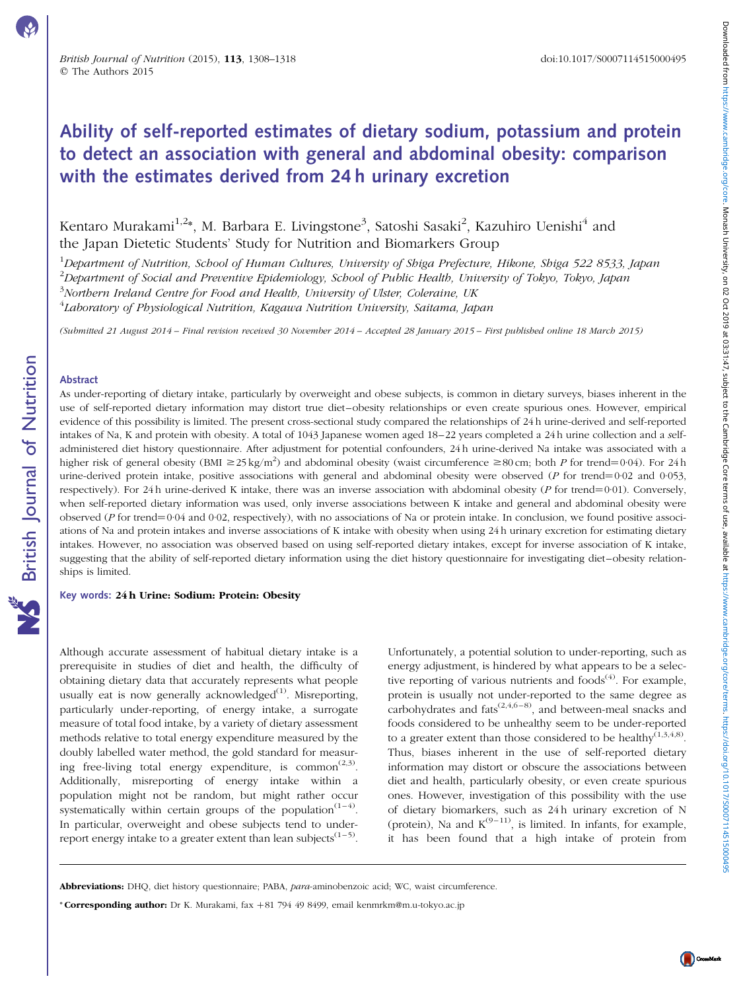# Ability of self-reported estimates of dietary sodium, potassium and protein to detect an association with general and abdominal obesity: comparison with the estimates derived from 24 h urinary excretion

Kentaro Murakami<sup>1,2</sup>\*, M. Barbara E. Livingstone<sup>3</sup>, Satoshi Sasaki<sup>2</sup>, Kazuhiro Uenishi<sup>4</sup> and the Japan Dietetic Students' Study for Nutrition and Biomarkers Group

 $^1$ Department of Nutrition, School of Human Cultures, University of Shiga Prefecture, Hikone, Shiga 522 8533, Japan  $^2$ Department of Social and Preventive Epidemiology, School of Public Health, University of Tokyo, Tokyo, Japan  $^3$ Northern Ireland Centre for Food and Health, University of Ulster, Coleraine, UK  $^4$ Laboratory of Physiological Nutrition, Kagawa Nutrition University, Saitama, Japan

(Submitted 21 August 2014 – Final revision received 30 November 2014 – Accepted 28 January 2015 – First published online 18 March 2015)

# Abstract

As under-reporting of dietary intake, particularly by overweight and obese subjects, is common in dietary surveys, biases inherent in the use of self-reported dietary information may distort true diet–obesity relationships or even create spurious ones. However, empirical evidence of this possibility is limited. The present cross-sectional study compared the relationships of 24 h urine-derived and self-reported intakes of Na, K and protein with obesity. A total of 1043 Japanese women aged 18–22 years completed a 24 h urine collection and a selfadministered diet history questionnaire. After adjustment for potential confounders, 24 h urine-derived Na intake was associated with a higher risk of general obesity (BMI  $\geq$  25 kg/m<sup>2</sup>) and abdominal obesity (waist circumference  $\geq$  80 cm; both P for trend=0.04). For 24 h urine-derived protein intake, positive associations with general and abdominal obesity were observed  $(P$  for trend=0 $0.02$  and  $0.053$ , respectively). For 24 h urine-derived K intake, there was an inverse association with abdominal obesity ( $P$  for trend=0 $\cdot$ 01). Conversely, when self-reported dietary information was used, only inverse associations between K intake and general and abdominal obesity were observed ( $P$  for trend=0·04 and 0·02, respectively), with no associations of Na or protein intake. In conclusion, we found positive associations of Na and protein intakes and inverse associations of K intake with obesity when using 24 h urinary excretion for estimating dietary intakes. However, no association was observed based on using self-reported dietary intakes, except for inverse association of K intake, suggesting that the ability of self-reported dietary information using the diet history questionnaire for investigating diet–obesity relationships is limited.

# Key words: 24 h Urine: Sodium: Protein: Obesity

Although accurate assessment of habitual dietary intake is a prerequisite in studies of diet and health, the difficulty of obtaining dietary data that accurately represents what people usually eat is now generally acknowledged $^{(1)}$ . Misreporting, particularly under-reporting, of energy intake, a surrogate measure of total food intake, by a variety of dietary assessment methods relative to total energy expenditure measured by the doubly labelled water method, the gold standard for measuring free-living total energy expenditure, is common<sup> $(2,3)$ </sup>. Additionally, misreporting of energy intake within a population might not be random, but might rather occur systematically within certain groups of the population<sup> $(1-4)$ </sup>. In particular, overweight and obese subjects tend to underreport energy intake to a greater extent than lean subjects<sup> $(1-5)$ </sup>.

Unfortunately, a potential solution to under-reporting, such as energy adjustment, is hindered by what appears to be a selective reporting of various nutrients and foods $^{(4)}$ . For example, protein is usually not under-reported to the same degree as carbohydrates and fats<sup> $(2,4,6-8)$ </sup>, and between-meal snacks and foods considered to be unhealthy seem to be under-reported to a greater extent than those considered to be healthy $(1,3,4,8)$ . Thus, biases inherent in the use of self-reported dietary information may distort or obscure the associations between diet and health, particularly obesity, or even create spurious ones. However, investigation of this possibility with the use of dietary biomarkers, such as 24 h urinary excretion of N (protein), Na and  $K^{(9-11)}$ , is limited. In infants, for example, it has been found that a high intake of protein from

Abbreviations: DHQ, diet history questionnaire; PABA, para-aminobenzoic acid; WC, waist circumference.

<sup>\*</sup> Corresponding author: Dr K. Murakami, fax +81 794 49 8499, email kenmrkm@m.u-tokyo.ac.jp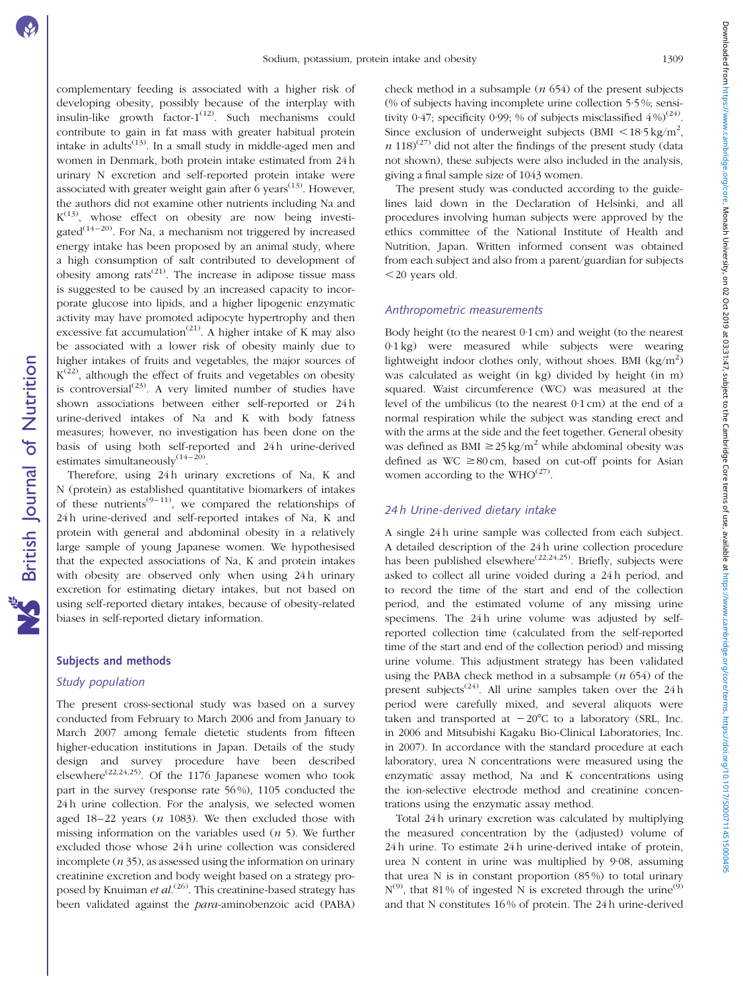complementary feeding is associated with a higher risk of developing obesity, possibly because of the interplay with insulin-like growth factor- $1^{(12)}$ . Such mechanisms could contribute to gain in fat mass with greater habitual protein intake in adults $^{(13)}$ . In a small study in middle-aged men and women in Denmark, both protein intake estimated from 24 h urinary N excretion and self-reported protein intake were associated with greater weight gain after 6 years<sup> $(13)$ </sup>. However, the authors did not examine other nutrients including Na and  $K^{(13)}$ , whose effect on obesity are now being investigated<sup>(14–20)</sup>. For Na, a mechanism not triggered by increased energy intake has been proposed by an animal study, where a high consumption of salt contributed to development of obesity among  $\text{rats}^{(21)}$ . The increase in adipose tissue mass is suggested to be caused by an increased capacity to incorporate glucose into lipids, and a higher lipogenic enzymatic activity may have promoted adipocyte hypertrophy and then excessive fat accumulation<sup>(21)</sup>. A higher intake of K may also be associated with a lower risk of obesity mainly due to higher intakes of fruits and vegetables, the major sources of  $K^{(22)}$ , although the effect of fruits and vegetables on obesity is controversial<sup>(23)</sup>. A very limited number of studies have shown associations between either self-reported or 24 h urine-derived intakes of Na and K with body fatness measures; however, no investigation has been done on the basis of using both self-reported and 24 h urine-derived estimates simultaneously $(14-20)$ .

Therefore, using 24h urinary excretions of Na, K and N (protein) as established quantitative biomarkers of intakes of these nutrients<sup> $(9-11)$ </sup>, we compared the relationships of 24 h urine-derived and self-reported intakes of Na, K and protein with general and abdominal obesity in a relatively large sample of young Japanese women. We hypothesised that the expected associations of Na, K and protein intakes with obesity are observed only when using 24h urinary excretion for estimating dietary intakes, but not based on using self-reported dietary intakes, because of obesity-related biases in self-reported dietary information.

# Subjects and methods

# Study population

The present cross-sectional study was based on a survey conducted from February to March 2006 and from January to March 2007 among female dietetic students from fifteen higher-education institutions in Japan. Details of the study design and survey procedure have been described elsewhere<sup>(22,24,25)</sup>. Of the 1176 Japanese women who took part in the survey (response rate 56 %), 1105 conducted the 24 h urine collection. For the analysis, we selected women aged  $18-22$  years  $(n 1083)$ . We then excluded those with missing information on the variables used  $(n, 5)$ . We further excluded those whose 24 h urine collection was considered incomplete  $(n 35)$ , as assessed using the information on urinary creatinine excretion and body weight based on a strategy proposed by Knuiman et al.<sup>(26)</sup>. This creatinine-based strategy has been validated against the para-aminobenzoic acid (PABA) check method in a subsample  $(n 654)$  of the present subjects (% of subjects having incomplete urine collection 5·5 %; sensitivity 0.47; specificity 0.99; % of subjects misclassified  $4\%$ <sup>(24)</sup>. Since exclusion of underweight subjects (BMI <  $18.5 \text{ kg/m}^2$ ,  $n$  118)<sup>(27)</sup> did not alter the findings of the present study (data not shown), these subjects were also included in the analysis, giving a final sample size of 1043 women.

The present study was conducted according to the guidelines laid down in the Declaration of Helsinki, and all procedures involving human subjects were approved by the ethics committee of the National Institute of Health and Nutrition, Japan. Written informed consent was obtained from each subject and also from a parent/guardian for subjects  $<$  20 years old.

# Anthropometric measurements

Body height (to the nearest 0·1 cm) and weight (to the nearest 0·1 kg) were measured while subjects were wearing lightweight indoor clothes only, without shoes. BMI  $(kg/m<sup>2</sup>)$ was calculated as weight (in kg) divided by height (in m) squared. Waist circumference (WC) was measured at the level of the umbilicus (to the nearest 0·1 cm) at the end of a normal respiration while the subject was standing erect and with the arms at the side and the feet together. General obesity was defined as BMI  $\geq$ 25 kg/m<sup>2</sup> while abdominal obesity was defined as WC  $\geq$ 80 cm, based on cut-off points for Asian women according to the  $WHO^{(27)}$ .

# 24 h Urine-derived dietary intake

A single 24 h urine sample was collected from each subject. A detailed description of the 24 h urine collection procedure has been published elsewhere<sup>(22,24,25)</sup>. Briefly, subjects were asked to collect all urine voided during a 24 h period, and to record the time of the start and end of the collection period, and the estimated volume of any missing urine specimens. The 24h urine volume was adjusted by selfreported collection time (calculated from the self-reported time of the start and end of the collection period) and missing urine volume. This adjustment strategy has been validated using the PABA check method in a subsample  $(n 654)$  of the present subjects<sup> $(24)$ </sup>. All urine samples taken over the 24 h period were carefully mixed, and several aliquots were taken and transported at  $-20^{\circ}$ C to a laboratory (SRL, Inc. in 2006 and Mitsubishi Kagaku Bio-Clinical Laboratories, Inc. in 2007). In accordance with the standard procedure at each laboratory, urea N concentrations were measured using the enzymatic assay method, Na and K concentrations using the ion-selective electrode method and creatinine concentrations using the enzymatic assay method.

Total 24 h urinary excretion was calculated by multiplying the measured concentration by the (adjusted) volume of 24 h urine. To estimate 24 h urine-derived intake of protein, urea N content in urine was multiplied by 9·08, assuming that urea N is in constant proportion  $(85\%)$  to total urinary  $N^{(9)}$ , that 81% of ingested N is excreted through the urine<sup>(9)</sup> and that N constitutes 16 % of protein. The 24 h urine-derived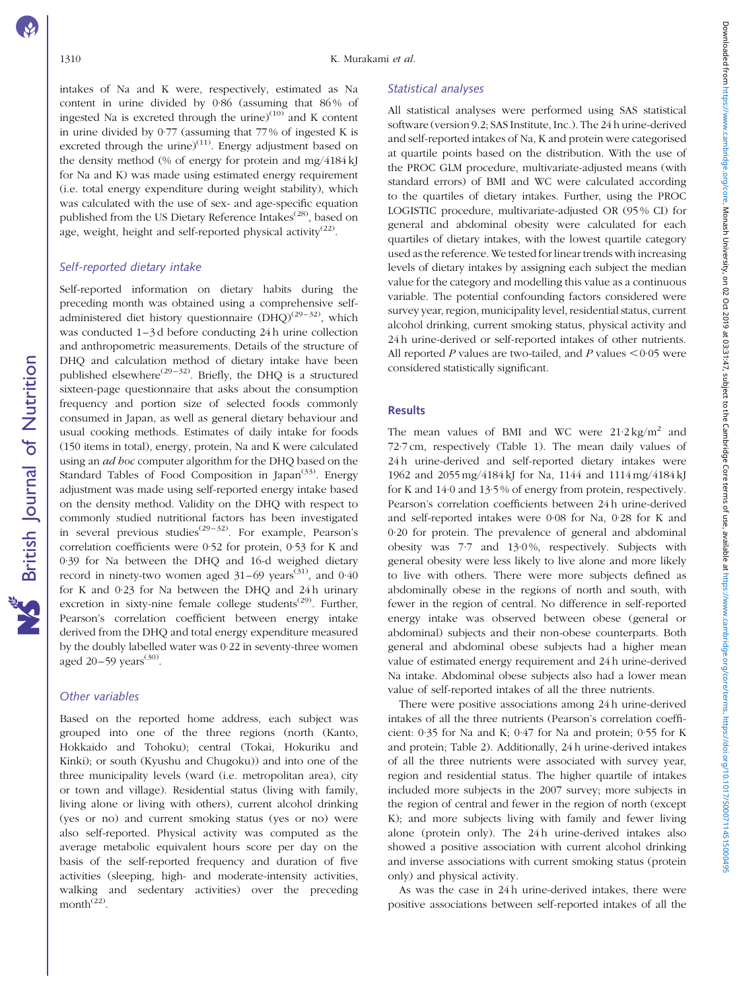intakes of Na and K were, respectively, estimated as Na content in urine divided by 0·86 (assuming that 86 % of ingested Na is excreted through the urine) $(10)$  and K content in urine divided by 0·77 (assuming that 77 % of ingested K is excreted through the urine) $(11)$ . Energy adjustment based on the density method (% of energy for protein and mg/4184 kJ for Na and K) was made using estimated energy requirement (i.e. total energy expenditure during weight stability), which was calculated with the use of sex- and age-specific equation published from the US Dietary Reference Intakes<sup>(28)</sup>, based on age, weight, height and self-reported physical activity<sup>(22)</sup>.

# Self-reported dietary intake

Self-reported information on dietary habits during the preceding month was obtained using a comprehensive selfadministered diet history questionnaire  $(DHO)^{(29-32)}$ , which was conducted 1–3 d before conducting 24 h urine collection and anthropometric measurements. Details of the structure of DHQ and calculation method of dietary intake have been published elsewhere<sup>(29–32)</sup>. Briefly, the DHQ is a structured sixteen-page questionnaire that asks about the consumption frequency and portion size of selected foods commonly consumed in Japan, as well as general dietary behaviour and usual cooking methods. Estimates of daily intake for foods (150 items in total), energy, protein, Na and K were calculated using an ad hoc computer algorithm for the DHQ based on the Standard Tables of Food Composition in Japan $(33)$ . Energy adjustment was made using self-reported energy intake based on the density method. Validity on the DHQ with respect to commonly studied nutritional factors has been investigated in several previous studies<sup>(29–32)</sup>. For example, Pearson's correlation coefficients were 0·52 for protein, 0·53 for K and 0·39 for Na between the DHQ and 16-d weighed dietary record in ninety-two women aged  $31-69$  years<sup>(31)</sup>, and  $0.40$ for K and 0·23 for Na between the DHQ and 24 h urinary excretion in sixty-nine female college students<sup> $(29)$ </sup>. Further, Pearson's correlation coefficient between energy intake derived from the DHQ and total energy expenditure measured by the doubly labelled water was 0·22 in seventy-three women aged  $20 - 59$  years<sup>(30)</sup>.

### Other variables

Based on the reported home address, each subject was grouped into one of the three regions (north (Kanto, Hokkaido and Tohoku); central (Tokai, Hokuriku and Kinki); or south (Kyushu and Chugoku)) and into one of the three municipality levels (ward (i.e. metropolitan area), city or town and village). Residential status (living with family, living alone or living with others), current alcohol drinking (yes or no) and current smoking status (yes or no) were also self-reported. Physical activity was computed as the average metabolic equivalent hours score per day on the basis of the self-reported frequency and duration of five activities (sleeping, high- and moderate-intensity activities, walking and sedentary activities) over the preceding month $\tilde{a}^{(22)}$ .

### Statistical analyses

All statistical analyses were performed using SAS statistical software (version 9.2; SAS Institute, Inc.). The 24 h urine-derived and self-reported intakes of Na, K and protein were categorised at quartile points based on the distribution. With the use of the PROC GLM procedure, multivariate-adjusted means (with standard errors) of BMI and WC were calculated according to the quartiles of dietary intakes. Further, using the PROC LOGISTIC procedure, multivariate-adjusted OR (95 % CI) for general and abdominal obesity were calculated for each quartiles of dietary intakes, with the lowest quartile category used as the reference. We tested for linear trends with increasing levels of dietary intakes by assigning each subject the median value for the category and modelling this value as a continuous variable. The potential confounding factors considered were survey year, region, municipality level, residential status, current alcohol drinking, current smoking status, physical activity and 24 h urine-derived or self-reported intakes of other nutrients. All reported P values are two-tailed, and P values  $\leq 0.05$  were considered statistically significant.

# **Results**

The mean values of BMI and WC were  $21.2 \text{ kg/m}^2$  and 72·7 cm, respectively [\(Table 1\)](#page-3-0). The mean daily values of 24 h urine-derived and self-reported dietary intakes were 1962 and 2055 mg/4184 kJ for Na, 1144 and 1114 mg/4184 kJ for K and 14·0 and 13·5 % of energy from protein, respectively. Pearson's correlation coefficients between 24 h urine-derived and self-reported intakes were 0·08 for Na, 0·28 for K and 0·20 for protein. The prevalence of general and abdominal obesity was 7·7 and 13·0 %, respectively. Subjects with general obesity were less likely to live alone and more likely to live with others. There were more subjects defined as abdominally obese in the regions of north and south, with fewer in the region of central. No difference in self-reported energy intake was observed between obese (general or abdominal) subjects and their non-obese counterparts. Both general and abdominal obese subjects had a higher mean value of estimated energy requirement and 24 h urine-derived Na intake. Abdominal obese subjects also had a lower mean value of self-reported intakes of all the three nutrients.

There were positive associations among 24 h urine-derived intakes of all the three nutrients (Pearson's correlation coefficient: 0·35 for Na and K; 0·47 for Na and protein; 0·55 for K and protein; [Table 2\)](#page-4-0). Additionally, 24 h urine-derived intakes of all the three nutrients were associated with survey year, region and residential status. The higher quartile of intakes included more subjects in the 2007 survey; more subjects in the region of central and fewer in the region of north (except K); and more subjects living with family and fewer living alone (protein only). The 24 h urine-derived intakes also showed a positive association with current alcohol drinking and inverse associations with current smoking status (protein only) and physical activity.

As was the case in 24 h urine-derived intakes, there were positive associations between self-reported intakes of all the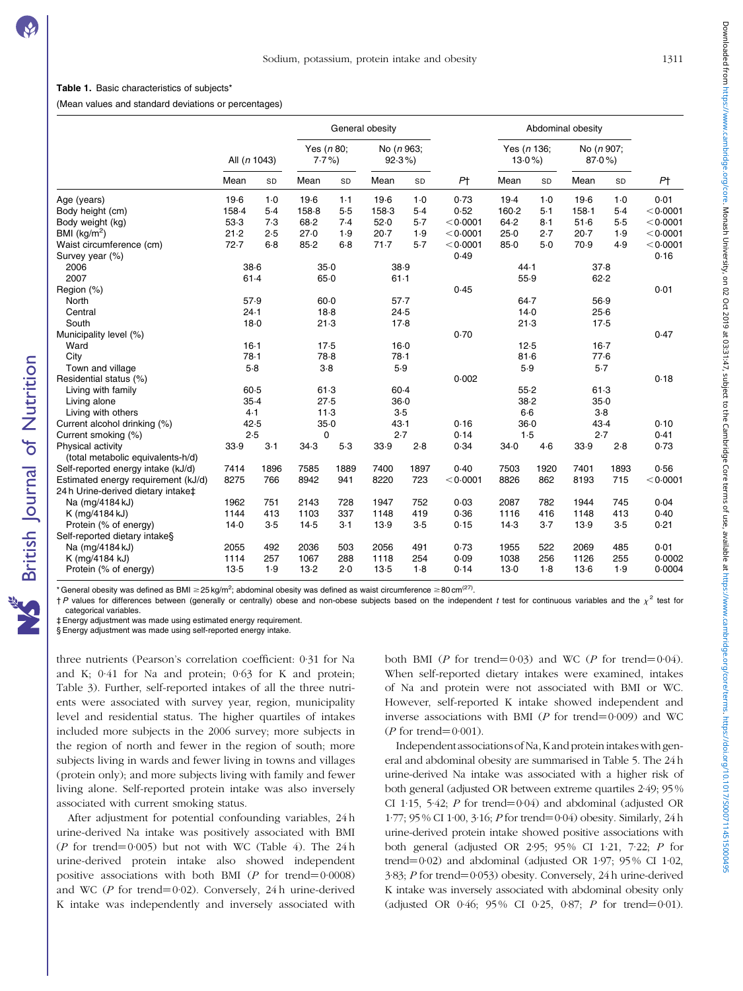**S** British Journal of Nutrition

#### <span id="page-3-0"></span>Table 1. Basic characteristics of subjects<sup>\*</sup>

(Mean values and standard deviations or percentages)

|                                     |              |         | General obesity       |         |                        |         |          | Abdominal obesity       |         |                     |       |          |
|-------------------------------------|--------------|---------|-----------------------|---------|------------------------|---------|----------|-------------------------|---------|---------------------|-------|----------|
|                                     | All (n 1043) |         | Yes (n 80;<br>$7.7\%$ |         | No (n 963;<br>$92.3\%$ |         |          | Yes (n 136;<br>$13.0\%$ |         | No (n 907;<br>87.0% |       |          |
|                                     | Mean         | SD      | Mean                  | SD      | Mean                   | SD      | P†       | Mean                    | SD      | Mean                | SD    | Pt       |
| Age (years)                         | $19-6$       | $1-0$   | $19-6$                | $1-1$   | $19-6$                 | $1-0$   | 0.73     | $19-4$                  | $1-0$   | 19.6                | $1-0$ | 0.01     |
| Body height (cm)                    | 158.4        | $5-4$   | 158.8                 | 5.5     | 158.3                  | $5-4$   | 0.52     | $160 - 2$               | $5-1$   | 158.1               | $5-4$ | < 0.0001 |
| Body weight (kg)                    | 53.3         | 7.3     | 68.2                  | 7.4     | 52.0                   | $5 - 7$ | < 0.0001 | 64.2                    | $8 - 1$ | 51.6                | $5-5$ | < 0.0001 |
| BMI $(kg/m2)$                       | 21.2         | 2.5     | 27.0                  | 1.9     | $20 - 7$               | 1.9     | < 0.0001 | 25.0                    | 2.7     | $20-7$              | 1.9   | < 0.0001 |
| Waist circumference (cm)            | 72.7         | $6 - 8$ | $85 - 2$              | $6 - 8$ | 71.7                   | 5.7     | < 0.0001 | 85.0                    | 5.0     | 70.9                | 4.9   | < 0.0001 |
| Survey year (%)                     |              |         |                       |         |                        |         | 0.49     |                         |         |                     |       | 0.16     |
| 2006                                | 38.6         |         |                       | $35-0$  | 38.9                   |         |          | 44.1                    |         | 37.8                |       |          |
| 2007                                | 61.4         |         |                       | $65-0$  | $61-1$                 |         |          | 55.9                    |         | 62.2                |       |          |
| Region (%)                          |              |         |                       |         |                        |         | 0.45     |                         |         |                     |       | 0.01     |
| North                               | 57.9         |         | $60 - 0$              |         | $57 - 7$               |         |          | $64 - 7$                |         | 56.9                |       |          |
| Central                             | $24-1$       |         | $18-8$                |         | $24-5$                 |         |          | 14.0                    |         | $25-6$              |       |          |
| South                               | 18.0         |         | 21.3                  |         | 17.8                   |         |          | 21.3                    |         | 17.5                |       |          |
| Municipality level (%)              |              |         |                       |         |                        |         | 0.70     |                         |         |                     |       | 0.47     |
| Ward                                | $16-1$       |         | 17.5                  |         | $16-0$                 |         |          | 12.5                    |         | $16-7$              |       |          |
| City                                | 78.1         |         | 78-8                  |         | 78.1                   |         |          | 81.6                    |         | 77.6                |       |          |
| Town and village                    | $5-8$        |         | $3-8$                 |         | 5.9                    |         |          | 5.9                     |         | $5-7$               |       |          |
| Residential status (%)              |              |         |                       |         |                        |         | 0.002    |                         |         |                     |       | 0.18     |
| Living with family                  | $60 - 5$     |         | 61.3                  |         | $60-4$                 |         |          | $55-2$                  |         | 61.3                |       |          |
| Living alone                        | 35.4         |         | 27.5                  |         | $36-0$                 |         |          | 38.2                    |         | 35.0                |       |          |
| Living with others                  | 4.1          |         | 11.3                  |         | $3-5$                  |         |          | $6 - 6$                 |         | $3-8$               |       |          |
| Current alcohol drinking (%)        | 42.5         |         | $35-0$                |         | 43.1                   |         | 0.16     | $36-0$                  |         | 43.4                |       | 0.10     |
| Current smoking (%)                 | 2.5          |         |                       | 0       | 2.7                    |         | 0.14     | 1.5                     |         | 2.7                 |       | 0.41     |
| Physical activity                   | 33.9         | $3-1$   | 34.3                  | $5-3$   | 33.9                   | 2.8     | 0.34     | 34.0                    | 4.6     | 33.9                | 2.8   | 0.73     |
| (total metabolic equivalents-h/d)   |              |         |                       |         |                        |         |          |                         |         |                     |       |          |
| Self-reported energy intake (kJ/d)  | 7414         | 1896    | 7585                  | 1889    | 7400                   | 1897    | 0.40     | 7503                    | 1920    | 7401                | 1893  | 0.56     |
| Estimated energy requirement (kJ/d) | 8275         | 766     | 8942                  | 941     | 8220                   | 723     | < 0.0001 | 8826                    | 862     | 8193                | 715   | < 0.0001 |
| 24 h Urine-derived dietary intake‡  |              |         |                       |         |                        |         |          |                         |         |                     |       |          |
| Na (mg/4184 kJ)                     | 1962         | 751     | 2143                  | 728     | 1947                   | 752     | 0.03     | 2087                    | 782     | 1944                | 745   | 0.04     |
| K (mg/4184 kJ)                      | 1144         | 413     | 1103                  | 337     | 1148                   | 419     | 0.36     | 1116                    | 416     | 1148                | 413   | 0.40     |
| Protein (% of energy)               | 14.0<br>3.5  |         | 14.5                  | $3-1$   | 13.9<br>$3-5$          |         | 0.15     | 14.3<br>$3-7$           |         | 13.9                | $3-5$ | 0.21     |
| Self-reported dietary intake§       |              |         |                       |         |                        |         |          |                         |         |                     |       |          |
| Na (mg/4184 kJ)                     | 2055         | 492     | 2036                  | 503     | 2056                   | 491     | 0.73     | 1955                    | 522     | 2069                | 485   | 0.01     |
| K (mg/4184 kJ)                      | 1114         | 257     | 1067                  | 288     | 1118                   | 254     | 0.09     | 1038                    | 256     | 1126                | 255   | 0.0002   |
| Protein (% of energy)               | $13-5$       | 1.9     | 13.2                  | 2.0     | $13-5$                 | 1.8     | 0.14     | 13.0                    | $1-8$   | $13-6$              | 1.9   | 0.0004   |
|                                     |              |         |                       |         |                        |         |          |                         |         |                     |       |          |

\* General obesity was defined as BMI ≥25 kg/m<sup>2</sup>; abdominal obesity was defined as waist circumference ≥80 cm<sup>(27)</sup>.

 $\dagger$ P values for differences between (generally or centrally) obese and non-obese subjects based on the independent t test for continuous variables and the  $\chi^2$  test for categorical variables.

‡ Energy adjustment was made using estimated energy requirement.

§ Energy adjustment was made using self-reported energy intake.

three nutrients (Pearson's correlation coefficient: 0·31 for Na and K; 0·41 for Na and protein; 0·63 for K and protein; [Table 3\)](#page-5-0). Further, self-reported intakes of all the three nutrients were associated with survey year, region, municipality level and residential status. The higher quartiles of intakes included more subjects in the 2006 survey; more subjects in the region of north and fewer in the region of south; more subjects living in wards and fewer living in towns and villages (protein only); and more subjects living with family and fewer living alone. Self-reported protein intake was also inversely associated with current smoking status.

After adjustment for potential confounding variables, 24 h urine-derived Na intake was positively associated with BMI ( $P$  for trend=0·005) but not with WC ([Table 4](#page-6-0)). The 24 h urine-derived protein intake also showed independent positive associations with both BMI ( $P$  for trend=0·0008) and WC ( $P$  for trend=0·02). Conversely, 24 h urine-derived K intake was independently and inversely associated with both BMI (P for trend=0.03) and WC (P for trend=0.04). When self-reported dietary intakes were examined, intakes of Na and protein were not associated with BMI or WC. However, self-reported K intake showed independent and inverse associations with BMI ( $P$  for trend=0·009) and WC ( $P$  for trend=0·001).

Independent associations of Na, K and protein intakes with general and abdominal obesity are summarised in [Table 5.](#page-7-0) The 24h urine-derived Na intake was associated with a higher risk of both general (adjusted OR between extreme quartiles 2·49; 95% CI 1.15, 5.42; P for trend=0.04) and abdominal (adjusted OR 1.77; 95% CI 1.00, 3.16; *P* for trend=0.04) obesity. Similarly, 24h urine-derived protein intake showed positive associations with both general (adjusted OR 2·95; 95% CI 1·21, 7·22; P for trend=0 $\cdot$ 02) and abdominal (adjusted OR 1 $\cdot$ 97; 95% CI 1 $\cdot$ 02,  $3.83$ ; P for trend=0.053) obesity. Conversely, 24h urine-derived K intake was inversely associated with abdominal obesity only (adjusted OR 0.46; 95% CI 0.25, 0.87; P for trend=0.01).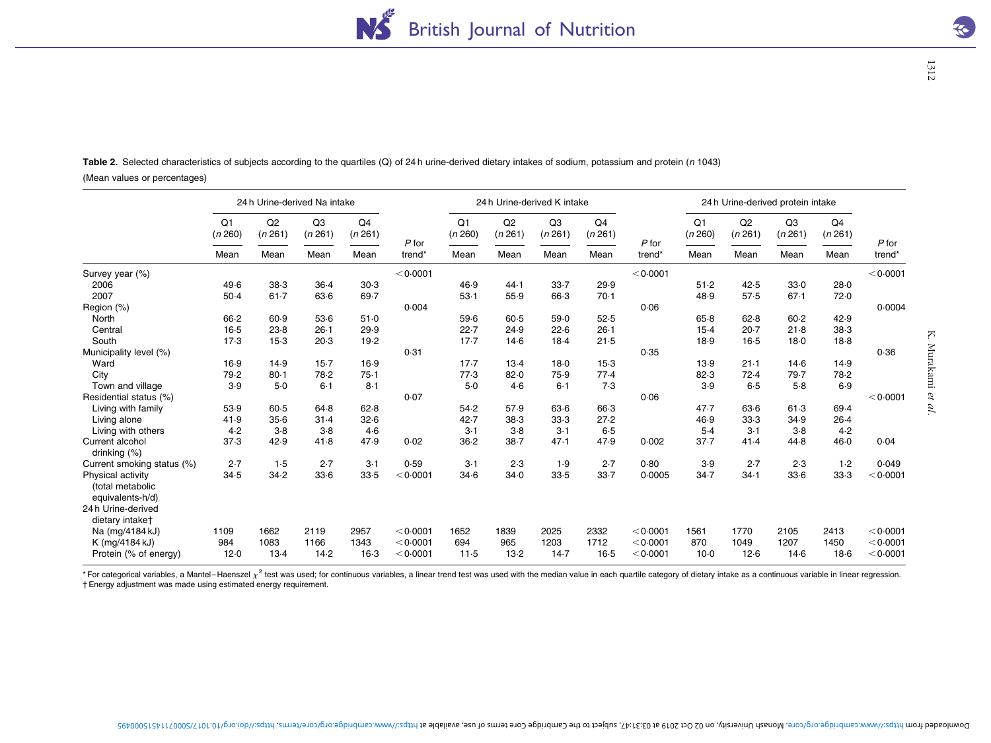<span id="page-4-0"></span>Table 2. Selected characteristics of subjects according to the quartiles (Q) of 24 h urine-derived dietary intakes of sodium, potassium and protein (n 1043)

(Mean values or percentages)

|                                                           | 24 h Urine-derived Na intake      |          |                           |                           | 24 h Urine-derived K intake |         |               |               |               | 24 h Urine-derived protein intake |          |                           |               |                           |               |         |
|-----------------------------------------------------------|-----------------------------------|----------|---------------------------|---------------------------|-----------------------------|---------|---------------|---------------|---------------|-----------------------------------|----------|---------------------------|---------------|---------------------------|---------------|---------|
|                                                           | Q <sub>1</sub><br>(n 260)<br>Mean |          | Q <sub>2</sub><br>(n 261) | Q <sub>3</sub><br>(n 261) | Q <sub>4</sub><br>(n 261)   | $P$ for | Q1<br>(n 260) | Q2<br>(n 261) | Q3<br>(n 261) | Q <sub>4</sub><br>(n 261)         | $P$ for  | Q <sub>1</sub><br>(n 260) | Q2<br>(n 261) | Q <sub>3</sub><br>(n 261) | Q4<br>(n 261) | $P$ for |
|                                                           |                                   | Mean     | Mean                      | Mean                      | trend*                      | Mean    | Mean          | Mean          | Mean          | trend*                            | Mean     | Mean                      | Mean          | Mean                      | trend*        |         |
| Survey year (%)                                           |                                   |          |                           |                           | < 0.0001                    |         |               |               |               | < 0.0001                          |          |                           |               |                           | < 0.0001      |         |
| 2006                                                      | 49.6                              | 38.3     | $36-4$                    | 30.3                      |                             | 46.9    | 44.1          | 33.7          | 29.9          |                                   | 51.2     | 42.5                      | 33.0          | 28.0                      |               |         |
| 2007                                                      | $50-4$                            | $61 - 7$ | $63-6$                    | 69.7                      |                             | $53-1$  | 55.9          | $66-3$        | $70-1$        |                                   | 48.9     | 57.5                      | 67.1          | 72.0                      |               |         |
| Region (%)                                                |                                   |          |                           |                           | 0.004                       |         |               |               |               | 0.06                              |          |                           |               |                           | 0.0004        |         |
| North                                                     | $66 - 2$                          | 60.9     | $53-6$                    | 51.0                      |                             | 59.6    | 60.5          | 59.0          | 52.5          |                                   | $65 - 8$ | 62.8                      | $60-2$        | 42.9                      |               |         |
| Central                                                   | $16-5$                            | $23-8$   | $26 - 1$                  | 29.9                      |                             | 22.7    | 24.9          | 22.6          | $26 - 1$      |                                   | $15-4$   | $20-7$                    | 21.8          | 38.3                      |               |         |
| South                                                     | 17.3                              | $15-3$   | 20.3                      | 19.2                      |                             | 17.7    | $14-6$        | $18-4$        | 21.5          |                                   | 18.9     | $16-5$                    | $18-0$        | $18-8$                    |               |         |
| Municipality level (%)                                    |                                   |          |                           |                           | 0.31                        |         |               |               |               | 0.35                              |          |                           |               |                           | 0.36          |         |
| Ward                                                      | 16.9                              | 14.9     | $15-7$                    | 16-9                      |                             | $17-7$  | $13-4$        | $18-0$        | $15-3$        |                                   | 13.9     | $21-1$                    | $14-6$        | 14.9                      |               |         |
| City                                                      | 79.2                              | $80 - 1$ | 78.2                      | 75.1                      |                             | 77.3    | 82.0          | 75.9          | 77.4          |                                   | 82.3     | 72.4                      | 79.7          | 78.2                      |               |         |
| Town and village                                          | 3.9                               | $5-0$    | $6 - 1$                   | $8 - 1$                   |                             | 5.0     | 4.6           | $6 - 1$       | 7.3           |                                   | 3.9      | 6.5                       | $5-8$         | 6.9                       |               |         |
| Residential status (%)                                    |                                   |          |                           |                           | 0.07                        |         |               |               |               | 0.06                              |          |                           |               |                           | < 0.0001      |         |
| Living with family                                        | 53.9                              | 60.5     | 64.8                      | 62.8                      |                             | 54.2    | 57.9          | $63-6$        | 66.3          |                                   | 47.7     | 63.6                      | 61.3          | 69.4                      |               |         |
| Living alone                                              | 41.9                              | $35-6$   | 31.4                      | 32.6                      |                             | 42.7    | 38.3          | 33.3          | 27.2          |                                   | 46.9     | 33.3                      | 34.9          | $26-4$                    |               |         |
| Living with others                                        | 4.2                               | $3-8$    | $3-8$                     | 4.6                       |                             | $3-1$   | $3-8$         | $3-1$         | $6 - 5$       |                                   | 5.4      | $3-1$                     | $3-8$         | 4.2                       |               |         |
| Current alcohol<br>drinking $(\%)$                        | 37.3                              | 42.9     | 41.8                      | 47.9                      | 0.02                        | 36.2    | $38 - 7$      | 47.1          | 47.9          | 0.002                             | 37.7     | 41.4                      | 44.8          | 46.0                      | 0.04          |         |
| Current smoking status (%)                                | 2.7                               | 1.5      | 2.7                       | $3-1$                     | 0.59                        | $3-1$   | 2.3           | 1.9           | 2.7           | 0.80                              | 3.9      | 2.7                       | 2.3           | 1.2                       | 0.049         |         |
| Physical activity<br>(total metabolic<br>equivalents-h/d) | 34.5                              | 34.2     | $33-6$                    | 33.5                      | < 0.0001                    | 34.6    | 34.0          | 33.5          | 33.7          | 0.0005                            | 34.7     | $34-1$                    | $33-6$        | 33.3                      | < 0.0001      |         |
| 24 h Urine-derived<br>dietary intaket                     |                                   |          |                           |                           |                             |         |               |               |               |                                   |          |                           |               |                           |               |         |
| Na (mg/4184 kJ)                                           | 1109                              | 1662     | 2119                      | 2957                      | < 0.0001                    | 1652    | 1839          | 2025          | 2332          | < 0.0001                          | 1561     | 1770                      | 2105          | 2413                      | < 0.0001      |         |
| K (mg/4184 kJ)                                            | 984                               | 1083     | 1166                      | 1343                      | < 0.0001                    | 694     | 965           | 1203          | 1712          | < 0.0001                          | 870      | 1049                      | 1207          | 1450                      | < 0.0001      |         |
| Protein (% of energy)                                     | 12.0                              | $13-4$   | 14.2                      | $16-3$                    | < 0.0001                    | 11.5    | 13.2          | 14.7          | $16-5$        | < 0.0001                          | $10-0$   | 12.6                      | 14.6          | $18-6$                    | < 0.0001      |         |

\* For categorical variables, a Mantel-Haenszel x<sup>2</sup> test was used; for continuous variables, a linear trend test was used with the median value in each quartile category of dietary intake as a continuous variable in linear † Energy adjustment was made using estimated energy requirement.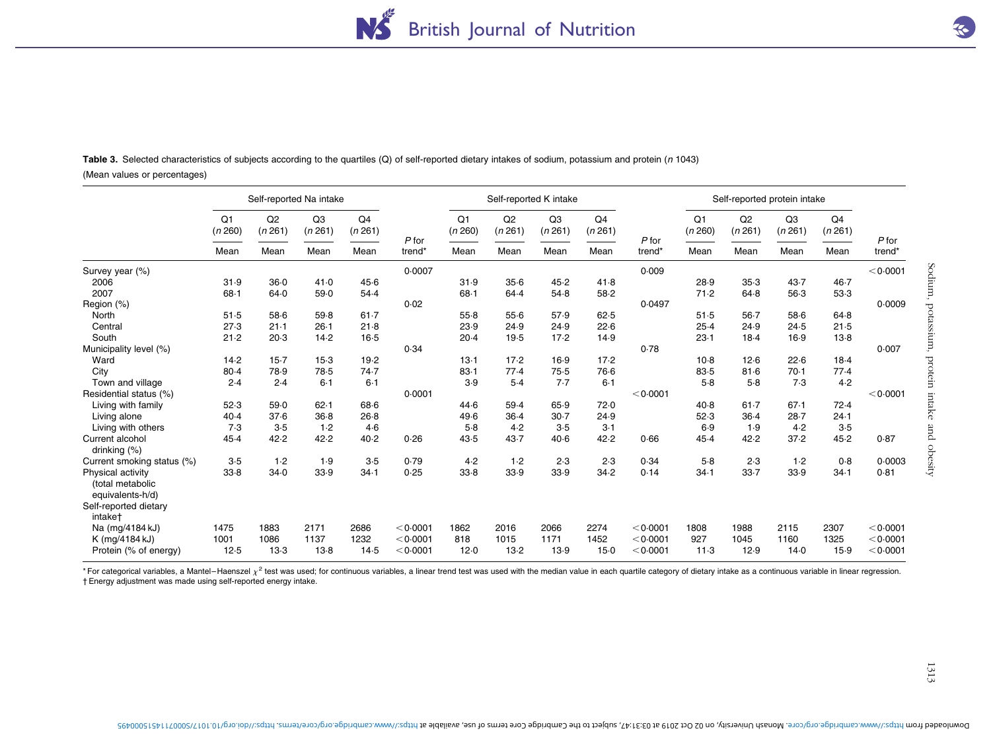<span id="page-5-0"></span>Table 3. Selected characteristics of subjects according to the quartiles (Q) of self-reported dietary intakes of sodium, potassium and protein (n 1043)

# (Mean values or percentages)

|                                                           | Self-reported Na intake   |               |                           |                           | Self-reported K intake |                           |               |                                   |                           | Self-reported protein intake |                                   |               |                           |               |                   |
|-----------------------------------------------------------|---------------------------|---------------|---------------------------|---------------------------|------------------------|---------------------------|---------------|-----------------------------------|---------------------------|------------------------------|-----------------------------------|---------------|---------------------------|---------------|-------------------|
|                                                           | Q <sub>1</sub><br>(n 260) | Q2<br>(n 261) | Q <sub>3</sub><br>(n 261) | Q <sub>4</sub><br>(n 261) | $P$ for                | Q <sub>1</sub><br>(n 260) | Q2<br>(n 261) | Q <sub>3</sub><br>(n 261)<br>Mean | Q <sub>4</sub><br>(n 261) | $P$ for                      | Q <sub>1</sub><br>(n 260)<br>Mean | Q2<br>(n 261) | Q <sub>3</sub><br>(n 261) | Q4<br>(n 261) | $P$ for<br>trend* |
|                                                           | Mean                      | Mean          | Mean                      | Mean                      | trend*                 | Mean                      | Mean          |                                   | Mean                      | trend*                       |                                   | Mean          | Mean                      | Mean          |                   |
| Survey year (%)                                           |                           |               |                           |                           | 0.0007                 |                           |               |                                   |                           | 0.009                        |                                   |               |                           |               | < 0.0001          |
| 2006                                                      | 31.9                      | $36-0$        | 41.0                      | 45.6                      |                        | 31.9                      | 35.6          | 45.2                              | 41.8                      |                              | 28.9                              | 35.3          | 43.7                      | $46 - 7$      |                   |
| 2007                                                      | $68 - 1$                  | 64.0          | 59.0                      | 54.4                      |                        | $68 - 1$                  | $64-4$        | 54.8                              | 58.2                      |                              | 71.2                              | $64 - 8$      | $56-3$                    | 53.3          |                   |
| Region (%)                                                |                           |               |                           |                           | 0.02                   |                           |               |                                   |                           | 0.0497                       |                                   |               |                           |               | 0.0009            |
| North                                                     | 51.5                      | 58.6          | 59.8                      | 61.7                      |                        | $55 - 8$                  | $55-6$        | 57.9                              | 62.5                      |                              | 51.5                              | $56 - 7$      | 58.6                      | $64 - 8$      |                   |
| Central                                                   | 27.3                      | $21 - 1$      | $26-1$                    | 21.8                      |                        | 23.9                      | 24.9          | 24.9                              | 22.6                      |                              | $25-4$                            | 24.9          | 24.5                      | 21.5          |                   |
| South                                                     | 21.2                      | 20.3          | 14.2                      | $16-5$                    |                        | 20.4                      | $19-5$        | 17.2                              | 14.9                      |                              | $23-1$                            | $18-4$        | 16.9                      | $13-8$        |                   |
| Municipality level (%)                                    |                           |               |                           |                           | 0.34                   |                           |               |                                   |                           | 0.78                         |                                   |               |                           |               | 0.007             |
| Ward                                                      | 14.2                      | $15-7$        | $15-3$                    | 19.2                      |                        | $13-1$                    | 17.2          | 16.9                              | 17.2                      |                              | $10-8$                            | 12.6          | 22.6                      | $18-4$        |                   |
| City                                                      | $80-4$                    | 78.9          | 78.5                      | 74.7                      |                        | $83 - 1$                  | 77.4          | 75.5                              | 76.6                      |                              | 83.5                              | 81.6          | $70-1$                    | 77.4          |                   |
| Town and village                                          | 2.4                       | 2.4           | $6 - 1$                   | $6 - 1$                   |                        | 3.9                       | $5-4$         | 7.7                               | 6.1                       |                              | $5-8$                             | $5-8$         | 7.3                       | 4.2           |                   |
| Residential status (%)                                    |                           |               |                           |                           | 0.0001                 |                           |               |                                   |                           | < 0.0001                     |                                   |               |                           |               | < 0.0001          |
| Living with family                                        | 52.3                      | 59.0          | 62.1                      | $68 - 6$                  |                        | 44.6                      | 59.4          | 65.9                              | 72.0                      |                              | $40-8$                            | $61 - 7$      | 67.1                      | 72.4          |                   |
| Living alone                                              | 40.4                      | 37.6          | $36 - 8$                  | $26 - 8$                  |                        | 49.6                      | $36-4$        | $30-7$                            | 24.9                      |                              | 52.3                              | $36-4$        | $28 - 7$                  | 24.1          |                   |
| Living with others                                        | 7.3                       | 3.5           | 1.2                       | 4.6                       |                        | $5-8$                     | 4.2           | 3.5                               | $3-1$                     |                              | 6.9                               | 1.9           | 4.2                       | $3-5$         |                   |
| Current alcohol<br>drinking (%)                           | 45.4                      | 42.2          | 42.2                      | 40.2                      | 0.26                   | 43.5                      | 43.7          | 40.6                              | 42.2                      | 0.66                         | 45.4                              | 42.2          | 37.2                      | 45.2          | 0.87              |
| Current smoking status (%)                                | 3.5                       | 1.2           | 1.9                       | 3.5                       | 0.79                   | 4.2                       | 1.2           | 2.3                               | 2.3                       | 0.34                         | $5-8$                             | 2.3           | 1.2                       | 0.8           | 0.0003            |
| Physical activity<br>(total metabolic<br>equivalents-h/d) | 33.8                      | 34.0          | 33.9                      | $34-1$                    | 0.25                   | 33.8                      | 33.9          | 33.9                              | 34.2                      | 0.14                         | $34 - 1$                          | $33 - 7$      | 33.9                      | $34-1$        | 0.81              |
| Self-reported dietary<br>intaket                          |                           |               |                           |                           |                        |                           |               |                                   |                           |                              |                                   |               |                           |               |                   |
| Na (mg/4184 kJ)                                           | 1475                      | 1883          | 2171                      | 2686                      | < 0.0001               | 1862                      | 2016          | 2066                              | 2274                      | < 0.0001                     | 1808                              | 1988          | 2115                      | 2307          | < 0.0001          |
| K (mg/4184 kJ)                                            | 1001                      | 1086          | 1137                      | 1232                      | < 0.0001               | 818                       | 1015          | 1171                              | 1452                      | < 0.0001                     | 927                               | 1045          | 1160                      | 1325          | < 0.0001          |
| Protein (% of energy)                                     | 12.5                      | $13-3$        | $13-8$                    | 14.5                      | < 0.0001               | 12.0                      | $13-2$        | 13.9                              | $15-0$                    | < 0.0001                     | 11.3                              | 12.9          | $14-0$                    | 15.9          | < 0.0001          |

\* For categorical variables, a Mantel-Haenszel  $\chi^2$  test was used; for continuous variables, a linear trend test was used with the median value in each quartile category of dietary intake as a continuous variable in lin † Energy adjustment was made using self-reported energy intake.

1313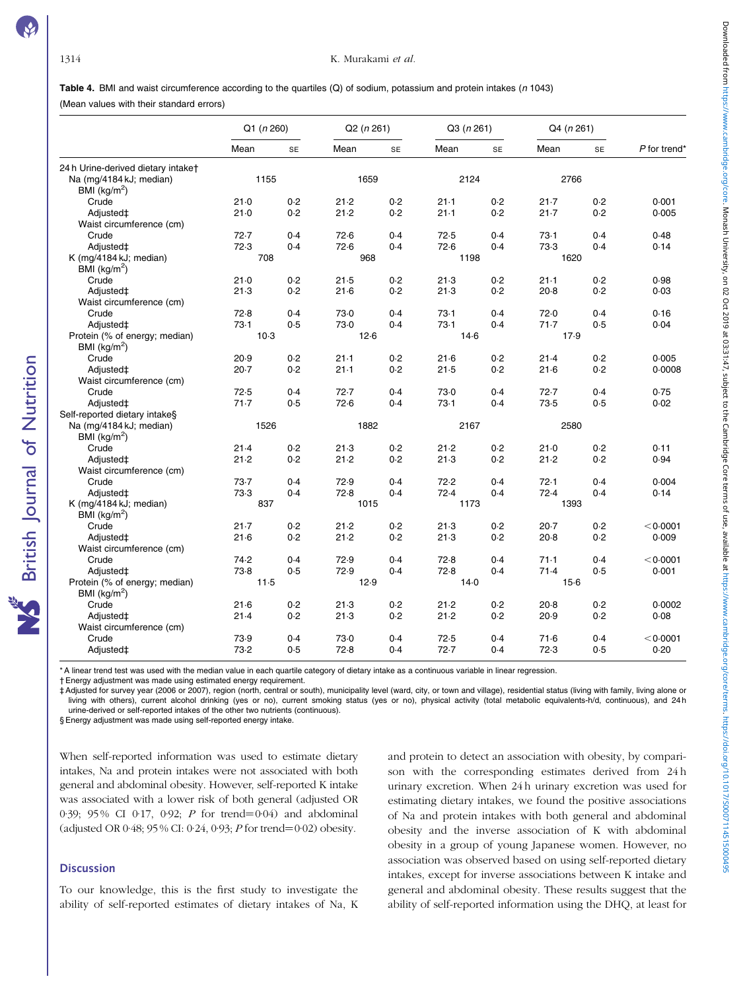**NS** British Journal of Nutrition

#### <span id="page-6-0"></span>1314 K. Murakami et al.

Table 4. BMI and waist circumference according to the quartiles (Q) of sodium, potassium and protein intakes (n 1043)

(Mean values with their standard errors)

|                                          | Q1 (n 260) |     | Q2(n 261) |     | Q3(n261) |     | Q4 (n 261) |     |              |
|------------------------------------------|------------|-----|-----------|-----|----------|-----|------------|-----|--------------|
|                                          | Mean       | SE  | Mean      | SE  | Mean     | SE  | Mean       | SE  | P for trend' |
| 24 h Urine-derived dietary intake†       |            |     |           |     |          |     |            |     |              |
| Na (mg/4184 kJ; median)<br>BMI $(kq/m2)$ | 1155       |     | 1659      |     | 2124     |     | 2766       |     |              |
| Crude                                    | 21.0       | 0.2 | 21.2      | 0.2 | $21 - 1$ | 0.2 | 21.7       | 0.2 | 0.001        |
| Adjusted‡                                | 21.0       | 0.2 | 21.2      | 0.2 | $21 - 1$ | 0.2 | 21.7       | 0.2 | 0.005        |
| Waist circumference (cm)                 |            |     |           |     |          |     |            |     |              |
| Crude                                    | 72.7       | 0.4 | 72.6      | 0.4 | 72.5     | 0.4 | 73.1       | 0.4 | 0.48         |
| Adjusted‡                                | 72.3       | 0.4 | 72.6      | 0.4 | 72.6     | 0.4 | 73.3       | 0.4 | 0.14         |
| K (mg/4184 kJ; median)                   | 708        |     | 968       |     | 1198     |     | 1620       |     |              |
| BMI ( $kg/m2$ )                          |            |     |           |     |          |     |            |     |              |
| Crude                                    | 21.0       | 0.2 | 21.5      | 0.2 | 21.3     | 0.2 | $21 - 1$   | 0.2 | 0.98         |
| Adjusted‡                                | 21.3       | 0.2 | $21-6$    | 0.2 | 21.3     | 0.2 | $20-8$     | 0.2 | 0.03         |
| Waist circumference (cm)                 |            |     |           |     |          |     |            |     |              |
| Crude                                    | 72.8       | 0.4 | 73.0      | 0.4 | 73.1     | 0.4 | 72.0       | 0.4 | 0.16         |
| Adjusted‡                                | 73.1       | 0.5 | 73.0      | 0.4 | 73.1     | 0.4 | 71.7       | 0.5 | 0.04         |
| Protein (% of energy; median)            | $10-3$     |     | 12.6      |     | $14-6$   |     | 17.9       |     |              |
| BMI $(kg/m2)$                            |            |     |           |     |          |     |            |     |              |
| Crude                                    | 20.9       | 0.2 | $21 - 1$  | 0.2 | $21-6$   | 0.2 | 21.4       | 0.2 | 0.005        |
| Adjusted‡                                | $20-7$     | 0.2 | $21 - 1$  | 0.2 | 21.5     | 0.2 | $21-6$     | 0.2 | 0.0008       |
| Waist circumference (cm)                 |            |     |           |     |          |     |            |     |              |
| Crude                                    | 72.5       | 0.4 | 72.7      | 0.4 | 73.0     | 0.4 | 72.7       | 0.4 | 0.75         |
| Adjusted‡                                | 71.7       | 0.5 | 72.6      | 0.4 | 73.1     | 0.4 | 73.5       | 0.5 | 0.02         |
| Self-reported dietary intake§            |            |     |           |     |          |     |            |     |              |
| Na (mg/4184 kJ; median)                  | 1526       |     | 1882      |     | 2167     |     | 2580       |     |              |
| BMI ( $kg/m2$ )                          |            |     |           |     |          |     |            |     |              |
| Crude                                    | 21.4       | 0.2 | 21.3      | 0.2 | 21.2     | 0.2 | 21.0       | 0.2 | 0.11         |
| Adjusted‡                                | 21.2       | 0.2 | 21.2      | 0.2 | 21.3     | 0.2 | 21.2       | 0.2 | 0.94         |
| Waist circumference (cm)                 |            |     |           |     |          |     |            |     |              |
| Crude                                    | 73.7       | 0.4 | 72.9      | 0.4 | 72.2     | 0.4 | 72.1       | 0.4 | 0.004        |
| Adjusted‡                                | 73-3       | 0.4 | 72.8      | 0.4 | 72.4     | 0.4 | 72.4       | 0.4 | 0.14         |
| K (mg/4184 kJ; median)                   | 837        |     | 1015      |     | 1173     |     | 1393       |     |              |
| BMI ( $kg/m2$ )                          |            |     |           |     |          |     |            |     |              |
| Crude                                    | $21-7$     | 0.2 | 21.2      | 0.2 | 21.3     | 0.2 | $20-7$     | 0.2 | < 0.0001     |
| Adjusted‡                                | $21-6$     | 0.2 | 21.2      | 0.2 | 21.3     | 0.2 | $20-8$     | 0.2 | 0.009        |
| Waist circumference (cm)                 |            |     |           |     |          |     |            |     |              |
| Crude                                    | 74.2       | 0.4 | 72.9      | 0.4 | 72.8     | 0.4 | 71.1       | 0.4 | < 0.0001     |
| Adjusted‡                                | 73.8       | 0.5 | 72.9      | 0.4 | 72.8     | 0.4 | 71.4       | 0.5 | 0.001        |
| Protein (% of energy; median)            | 11.5       |     | 12.9      |     | $14-0$   |     | $15-6$     |     |              |
| BMI ( $kg/m2$ )                          |            |     |           |     |          |     |            |     |              |
| Crude                                    | $21-6$     | 0.2 | 21.3      | 0.2 | 21.2     | 0.2 | $20-8$     | 0.2 | 0.0002       |
| Adjusted‡                                | 21.4       | 0.2 | 21.3      | 0.2 | 21.2     | 0.2 | 20.9       | 0.2 | 0.08         |
| Waist circumference (cm)                 |            |     |           |     |          |     |            |     |              |
| Crude                                    | 73.9       | 0.4 | 73.0      | 0.4 | 72.5     | 0.4 | 71.6       | 0.4 | < 0.0001     |
| Adjusted‡                                | 73.2       | 0.5 | 72.8      | 0.4 | 72.7     | 0.4 | 72.3       | 0.5 | 0.20         |
|                                          |            |     |           |     |          |     |            |     |              |

\* A linear trend test was used with the median value in each quartile category of dietary intake as a continuous variable in linear regression.

† Energy adjustment was made using estimated energy requirement.

‡ Adjusted for survey year (2006 or 2007), region (north, central or south), municipality level (ward, city, or town and village), residential status (living with family, living alone or living with others), current alcohol drinking (yes or no), current smoking status (yes or no), physical activity (total metabolic equivalents-h/d, continuous), and 24 h urine-derived or self-reported intakes of the other two nutrients (continuous).

§ Energy adjustment was made using self-reported energy intake.

When self-reported information was used to estimate dietary intakes, Na and protein intakes were not associated with both general and abdominal obesity. However, self-reported K intake was associated with a lower risk of both general (adjusted OR 0.39; 95% CI 0.17, 0.92; P for trend=0.04) and abdominal (adjusted OR 0·48; 95% CI: 0·24, 0·93; P for trend=0·02) obesity.

# **Discussion**

To our knowledge, this is the first study to investigate the ability of self-reported estimates of dietary intakes of Na, K and protein to detect an association with obesity, by comparison with the corresponding estimates derived from 24 h urinary excretion. When 24 h urinary excretion was used for estimating dietary intakes, we found the positive associations of Na and protein intakes with both general and abdominal obesity and the inverse association of K with abdominal obesity in a group of young Japanese women. However, no association was observed based on using self-reported dietary intakes, except for inverse associations between K intake and general and abdominal obesity. These results suggest that the ability of self-reported information using the DHQ, at least for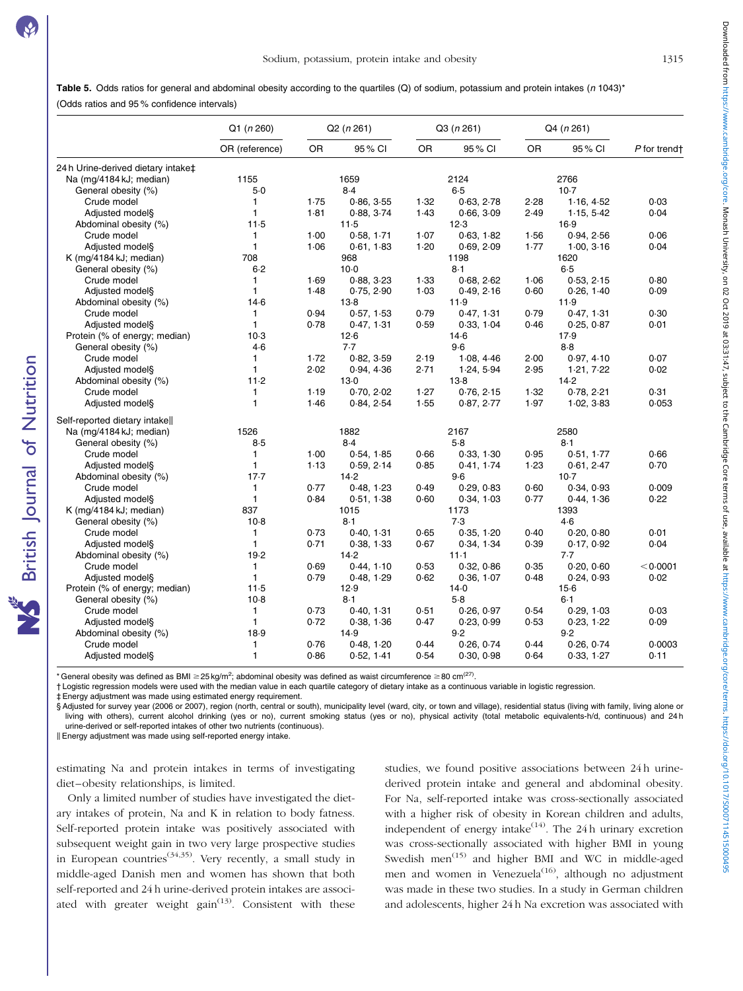**NS** British Journal of Nutrition

<span id="page-7-0"></span>Table 5. Odds ratios for general and abdominal obesity according to the quartiles (Q) of sodium, potassium and protein intakes ( $n$  1043)\* (Odds ratios and 95 % confidence intervals)

|                                    | Q1 (n 260)     |      | Q2(n 261)  |           | Q3(n 261)  | Q4(n261) |            |              |
|------------------------------------|----------------|------|------------|-----------|------------|----------|------------|--------------|
|                                    | OR (reference) | OR   | 95% CI     | <b>OR</b> | 95% CI     | OR       | 95% CI     | P for trendt |
| 24 h Urine-derived dietary intake‡ |                |      |            |           |            |          |            |              |
| Na (mg/4184 kJ; median)            | 1155           |      | 1659       |           | 2124       |          | 2766       |              |
| General obesity (%)                | $5-0$          |      | $8-4$      |           | $6 - 5$    |          | $10-7$     |              |
| Crude model                        | $\mathbf{1}$   | 1.75 | 0.86, 3.55 | 1.32      | 0.63, 2.78 | 2.28     | 1.16, 4.52 | 0.03         |
| Adjusted model§                    | $\mathbf{1}$   | 1.81 | 0.88, 3.74 | 1.43      | 0.66, 3.09 | 2.49     | 1.15, 5.42 | 0.04         |
| Abdominal obesity (%)              | 11.5           |      | 11.5       |           | 12.3       |          | 16.9       |              |
| Crude model                        | $\mathbf{1}$   | 1.00 | 0.58, 1.71 | 1.07      | 0.63, 1.82 | 1.56     | 0.94, 2.56 | 0.06         |
| Adjusted model§                    | $\mathbf{1}$   | 1.06 | 0.61, 1.83 | 1.20      | 0.69, 2.09 | 1.77     | 1.00, 3.16 | 0.04         |
| K (mg/4184 kJ; median)             | 708            |      | 968        |           | 1198       |          | 1620       |              |
| General obesity (%)                | $6-2$          |      | $10-0$     |           | $8 - 1$    |          | $6 - 5$    |              |
| Crude model                        | $\mathbf{1}$   | 1.69 | 0.88, 3.23 | 1.33      | 0.68, 2.62 | 1.06     | 0.53, 2.15 | 0.80         |
| Adjusted model§                    | $\mathbf{1}$   | 1.48 | 0.75, 2.90 | 1.03      | 0.49, 2.16 | 0.60     | 0.26, 1.40 | 0.09         |
| Abdominal obesity (%)              | $14-6$         |      | $13-8$     |           | 11.9       |          | 11.9       |              |
| Crude model                        | 1              | 0.94 | 0.57, 1.53 | 0.79      | 0.47, 1.31 | 0.79     | 0.47, 1.31 | 0.30         |
| Adjusted model§                    | $\mathbf{1}$   | 0.78 | 0.47, 1.31 | 0.59      | 0.33, 1.04 | 0.46     | 0.25, 0.87 | 0.01         |
| Protein (% of energy; median)      | $10-3$         |      | 12.6       |           | $14-6$     |          | 17.9       |              |
| General obesity (%)                | 4.6            |      | 7.7        |           | $9-6$      |          | $8 - 8$    |              |
| Crude model                        | $\mathbf{1}$   | 1.72 | 0.82, 3.59 | 2.19      | 1.08, 4.46 | 2.00     | 0.97, 4.10 | 0.07         |
| Adjusted model§                    | $\mathbf{1}$   | 2.02 | 0.94, 4.36 | 2.71      | 1.24, 5.94 | 2.95     | 1.21, 7.22 | 0.02         |
| Abdominal obesity (%)              | $11-2$         |      | $13-0$     |           | $13-8$     |          | 14.2       |              |
| Crude model                        | $\mathbf{1}$   | 1.19 | 0.70, 2.02 | 1.27      | 0.76, 2.15 | 1.32     | 0.78, 2.21 | 0.31         |
| Adjusted model§                    | $\mathbf{1}$   | 1.46 | 0.84, 2.54 | 1.55      | 0.87, 2.77 | 1.97     | 1.02, 3.83 | 0.053        |
| Self-reported dietary intake       |                |      |            |           |            |          |            |              |
| Na (mg/4184 kJ; median)            | 1526           |      | 1882       |           | 2167       |          | 2580       |              |
| General obesity (%)                | 8.5            |      | 8.4        |           | $5-8$      |          | $8 - 1$    |              |
| Crude model                        | $\mathbf{1}$   | 1.00 | 0.54, 1.85 | 0.66      | 0.33, 1.30 | 0.95     | 0.51, 1.77 | 0.66         |
| Adjusted model§                    | $\mathbf{1}$   | 1.13 | 0.59, 2.14 | 0.85      | 0.41, 1.74 | 1.23     | 0.61, 2.47 | 0.70         |
| Abdominal obesity (%)              | $17 - 7$       |      | 14.2       |           | $9-6$      |          | $10-7$     |              |
| Crude model                        | $\mathbf{1}$   | 0.77 | 0.48, 1.23 | 0.49      | 0.29, 0.83 | 0.60     | 0.34, 0.93 | 0.009        |
| Adjusted model§                    | $\mathbf{1}$   | 0.84 | 0.51, 1.38 | 0.60      | 0.34, 1.03 | 0.77     | 0.44, 1.36 | 0.22         |
| K (mg/4184 kJ; median)             | 837            |      | 1015       |           | 1173       |          | 1393       |              |
| General obesity (%)                | $10-8$         |      | $8-1$      |           | 7.3        |          | $4-6$      |              |
| Crude model                        | $\mathbf{1}$   | 0.73 | 0.40, 1.31 | 0.65      | 0.35, 1.20 | 0.40     | 0.20, 0.80 | 0.01         |
| Adjusted model§                    | $\mathbf{1}$   | 0.71 | 0.38, 1.33 | 0.67      | 0.34, 1.34 | 0.39     | 0.17, 0.92 | 0.04         |
| Abdominal obesity (%)              | 19.2           |      | 14.2       |           | $11 - 1$   |          | 7.7        |              |
| Crude model                        | $\mathbf{1}$   | 0.69 | 0.44, 1.10 | 0.53      | 0.32, 0.86 | 0.35     | 0.20, 0.60 | < 0.0001     |
| Adjusted model§                    | $\mathbf{1}$   | 0.79 | 0.48, 1.29 | 0.62      | 0.36, 1.07 | 0.48     | 0.24, 0.93 | 0.02         |
| Protein (% of energy; median)      | 11.5           |      | 12.9       |           | 14.0       |          | $15-6$     |              |
| General obesity (%)                | $10-8$         |      | $8-1$      |           | $5-8$      |          | $6 - 1$    |              |
| Crude model                        | $\mathbf{1}$   | 0.73 | 0.40, 1.31 | 0.51      | 0.26, 0.97 | 0.54     | 0.29, 1.03 | 0.03         |
| Adjusted model§                    | $\mathbf{1}$   | 0.72 | 0.38, 1.36 | 0.47      | 0.23, 0.99 | 0.53     | 0.23, 1.22 | 0.09         |
| Abdominal obesity (%)              | 18.9           |      | 14.9       |           | 9.2        |          | 9.2        |              |
| Crude model                        | $\mathbf{1}$   | 0.76 | 0.48, 1.20 | 0.44      | 0.26, 0.74 | 0.44     | 0.26, 0.74 | 0.0003       |
| Adjusted model§                    | $\mathbf{1}$   | 0.86 | 0.52, 1.41 | 0.54      | 0.30, 0.98 | 0.64     | 0.33, 1.27 | 0.11         |
|                                    |                |      |            |           |            |          |            |              |

\* General obesity was defined as BMI  $\geq$ 25 kg/m<sup>2</sup>; abdominal obesity was defined as waist circumference  $\geq$  80 cm<sup>(27)</sup>.

† Logistic regression models were used with the median value in each quartile category of dietary intake as a continuous variable in logistic regression.

‡ Energy adjustment was made using estimated energy requirement.

§ Adjusted for survey year (2006 or 2007), region (north, central or south), municipality level (ward, city, or town and village), residential status (living with family, living alone or living with others), current alcohol drinking (yes or no), current smoking status (yes or no), physical activity (total metabolic equivalents-h/d, continuous) and 24 h urine-derived or self-reported intakes of other two nutrients (continuous).

| Energy adjustment was made using self-reported energy intake.

estimating Na and protein intakes in terms of investigating diet–obesity relationships, is limited.

Only a limited number of studies have investigated the dietary intakes of protein, Na and K in relation to body fatness. Self-reported protein intake was positively associated with subsequent weight gain in two very large prospective studies in European countries<sup> $(34,35)$ </sup>. Very recently, a small study in middle-aged Danish men and women has shown that both self-reported and 24 h urine-derived protein intakes are associated with greater weight gain $(13)$ . Consistent with these studies, we found positive associations between 24 h urinederived protein intake and general and abdominal obesity. For Na, self-reported intake was cross-sectionally associated with a higher risk of obesity in Korean children and adults, independent of energy intake $(14)$ . The 24 h urinary excretion was cross-sectionally associated with higher BMI in young Swedish men<sup>(15)</sup> and higher BMI and WC in middle-aged men and women in Venezuela<sup>(16)</sup>, although no adjustment was made in these two studies. In a study in German children and adolescents, higher 24 h Na excretion was associated with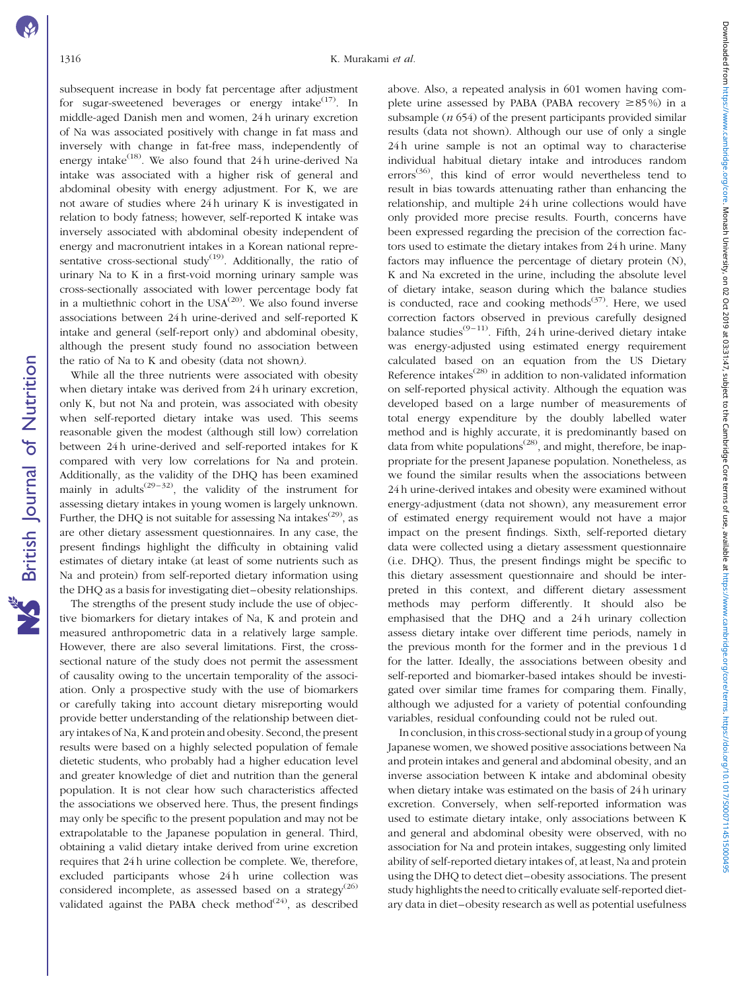**NS** British Journal of Nutrition

subsequent increase in body fat percentage after adjustment for sugar-sweetened beverages or energy intake $^{(17)}$ . In middle-aged Danish men and women, 24 h urinary excretion of Na was associated positively with change in fat mass and inversely with change in fat-free mass, independently of energy intake<sup> $(18)$ </sup>. We also found that 24h urine-derived Na intake was associated with a higher risk of general and abdominal obesity with energy adjustment. For K, we are not aware of studies where 24 h urinary K is investigated in relation to body fatness; however, self-reported K intake was inversely associated with abdominal obesity independent of energy and macronutrient intakes in a Korean national representative cross-sectional study<sup>(19)</sup>. Additionally, the ratio of urinary Na to K in a first-void morning urinary sample was cross-sectionally associated with lower percentage body fat in a multiethnic cohort in the  $USA^{(20)}$ . We also found inverse associations between 24 h urine-derived and self-reported K intake and general (self-report only) and abdominal obesity, although the present study found no association between the ratio of Na to K and obesity (data not shown).

While all the three nutrients were associated with obesity when dietary intake was derived from 24 h urinary excretion, only K, but not Na and protein, was associated with obesity when self-reported dietary intake was used. This seems reasonable given the modest (although still low) correlation between 24 h urine-derived and self-reported intakes for K compared with very low correlations for Na and protein. Additionally, as the validity of the DHQ has been examined mainly in adults<sup>(29–32)</sup>, the validity of the instrument for assessing dietary intakes in young women is largely unknown. Further, the DHQ is not suitable for assessing Na intakes<sup> $(29)$ </sup>, as are other dietary assessment questionnaires. In any case, the present findings highlight the difficulty in obtaining valid estimates of dietary intake (at least of some nutrients such as Na and protein) from self-reported dietary information using the DHQ as a basis for investigating diet–obesity relationships.

The strengths of the present study include the use of objective biomarkers for dietary intakes of Na, K and protein and measured anthropometric data in a relatively large sample. However, there are also several limitations. First, the crosssectional nature of the study does not permit the assessment of causality owing to the uncertain temporality of the association. Only a prospective study with the use of biomarkers or carefully taking into account dietary misreporting would provide better understanding of the relationship between dietary intakes of Na, K and protein and obesity. Second, the present results were based on a highly selected population of female dietetic students, who probably had a higher education level and greater knowledge of diet and nutrition than the general population. It is not clear how such characteristics affected the associations we observed here. Thus, the present findings may only be specific to the present population and may not be extrapolatable to the Japanese population in general. Third, obtaining a valid dietary intake derived from urine excretion requires that 24 h urine collection be complete. We, therefore, excluded participants whose 24h urine collection was considered incomplete, as assessed based on a strategy<sup>(26)</sup> validated against the PABA check method<sup> $(24)$ </sup>, as described

above. Also, a repeated analysis in 601 women having complete urine assessed by PABA (PABA recovery  $\geq 85\%$ ) in a subsample  $(n 654)$  of the present participants provided similar results (data not shown). Although our use of only a single 24 h urine sample is not an optimal way to characterise individual habitual dietary intake and introduces random errors<sup>(36)</sup>, this kind of error would nevertheless tend to result in bias towards attenuating rather than enhancing the relationship, and multiple 24 h urine collections would have only provided more precise results. Fourth, concerns have been expressed regarding the precision of the correction factors used to estimate the dietary intakes from 24 h urine. Many factors may influence the percentage of dietary protein (N), K and Na excreted in the urine, including the absolute level of dietary intake, season during which the balance studies is conducted, race and cooking methods<sup> $(37)$ </sup>. Here, we used correction factors observed in previous carefully designed balance studies<sup>(9-11)</sup>. Fifth, 24h urine-derived dietary intake was energy-adjusted using estimated energy requirement calculated based on an equation from the US Dietary Reference intakes<sup>(28)</sup> in addition to non-validated information on self-reported physical activity. Although the equation was developed based on a large number of measurements of total energy expenditure by the doubly labelled water method and is highly accurate, it is predominantly based on data from white populations<sup> $(28)$ </sup>, and might, therefore, be inappropriate for the present Japanese population. Nonetheless, as we found the similar results when the associations between 24 h urine-derived intakes and obesity were examined without energy-adjustment (data not shown), any measurement error of estimated energy requirement would not have a major impact on the present findings. Sixth, self-reported dietary data were collected using a dietary assessment questionnaire (i.e. DHQ). Thus, the present findings might be specific to this dietary assessment questionnaire and should be interpreted in this context, and different dietary assessment methods may perform differently. It should also be emphasised that the DHQ and a 24h urinary collection assess dietary intake over different time periods, namely in the previous month for the former and in the previous 1 d for the latter. Ideally, the associations between obesity and self-reported and biomarker-based intakes should be investigated over similar time frames for comparing them. Finally, although we adjusted for a variety of potential confounding variables, residual confounding could not be ruled out.

In conclusion, in this cross-sectional study in a group of young Japanese women, we showed positive associations between Na and protein intakes and general and abdominal obesity, and an inverse association between K intake and abdominal obesity when dietary intake was estimated on the basis of 24 h urinary excretion. Conversely, when self-reported information was used to estimate dietary intake, only associations between K and general and abdominal obesity were observed, with no association for Na and protein intakes, suggesting only limited ability of self-reported dietary intakes of, at least, Na and protein using the DHQ to detect diet–obesity associations. The present study highlights the need to critically evaluate self-reported dietary data in diet–obesity research as well as potential usefulness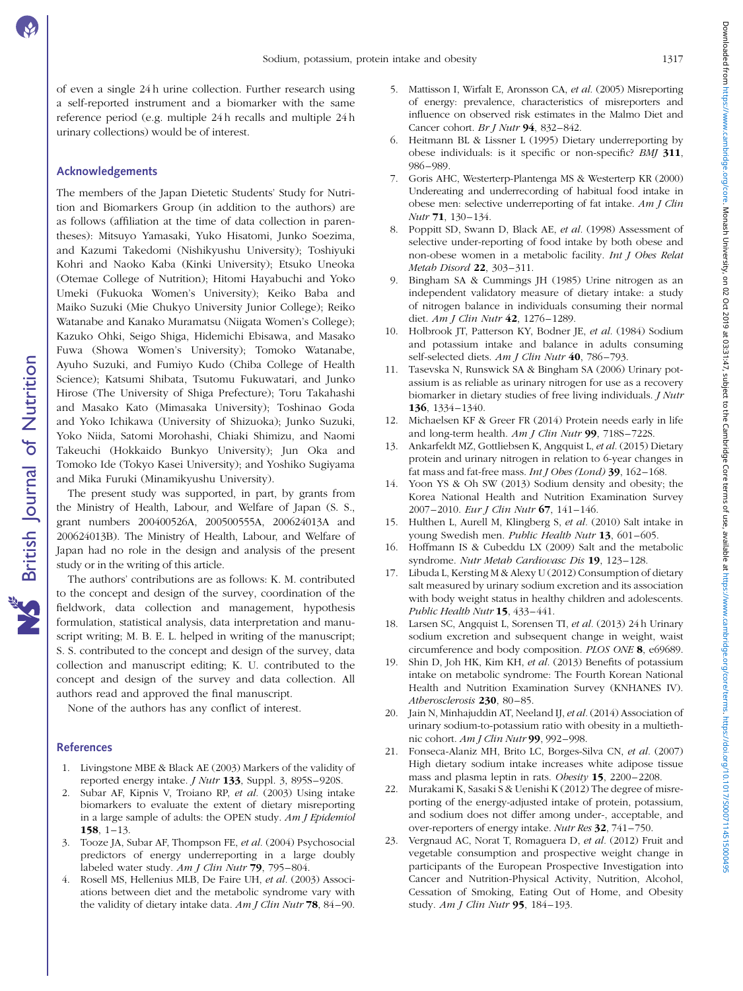of even a single 24 h urine collection. Further research using a self-reported instrument and a biomarker with the same reference period (e.g. multiple 24 h recalls and multiple 24 h urinary collections) would be of interest.

# Acknowledgements

The members of the Japan Dietetic Students' Study for Nutrition and Biomarkers Group (in addition to the authors) are as follows (affiliation at the time of data collection in parentheses): Mitsuyo Yamasaki, Yuko Hisatomi, Junko Soezima, and Kazumi Takedomi (Nishikyushu University); Toshiyuki Kohri and Naoko Kaba (Kinki University); Etsuko Uneoka (Otemae College of Nutrition); Hitomi Hayabuchi and Yoko Umeki (Fukuoka Women's University); Keiko Baba and Maiko Suzuki (Mie Chukyo University Junior College); Reiko Watanabe and Kanako Muramatsu (Niigata Women's College); Kazuko Ohki, Seigo Shiga, Hidemichi Ebisawa, and Masako Fuwa (Showa Women's University); Tomoko Watanabe, Ayuho Suzuki, and Fumiyo Kudo (Chiba College of Health Science); Katsumi Shibata, Tsutomu Fukuwatari, and Junko Hirose (The University of Shiga Prefecture); Toru Takahashi and Masako Kato (Mimasaka University); Toshinao Goda and Yoko Ichikawa (University of Shizuoka); Junko Suzuki, Yoko Niida, Satomi Morohashi, Chiaki Shimizu, and Naomi Takeuchi (Hokkaido Bunkyo University); Jun Oka and Tomoko Ide (Tokyo Kasei University); and Yoshiko Sugiyama and Mika Furuki (Minamikyushu University).

The present study was supported, in part, by grants from the Ministry of Health, Labour, and Welfare of Japan (S. S., grant numbers 200400526A, 200500555A, 200624013A and 200624013B). The Ministry of Health, Labour, and Welfare of Japan had no role in the design and analysis of the present study or in the writing of this article.

The authors' contributions are as follows: K. M. contributed to the concept and design of the survey, coordination of the fieldwork, data collection and management, hypothesis formulation, statistical analysis, data interpretation and manuscript writing; M. B. E. L. helped in writing of the manuscript; S. S. contributed to the concept and design of the survey, data collection and manuscript editing; K. U. contributed to the concept and design of the survey and data collection. All authors read and approved the final manuscript.

None of the authors has any conflict of interest.

### References

British Journal of Nutrition

**NS** British Journal of Nutrition

- 1. Livingstone MBE & Black AE (2003) Markers of the validity of reported energy intake. *J Nutr* 133, Suppl. 3, 895S-920S.
- 2. Subar AF, Kipnis V, Troiano RP, et al. (2003) Using intake biomarkers to evaluate the extent of dietary misreporting in a large sample of adults: the OPEN study. Am J Epidemiol 158, 1–13.
- 3. Tooze JA, Subar AF, Thompson FE, et al. (2004) Psychosocial predictors of energy underreporting in a large doubly labeled water study. Am J Clin Nutr 79, 795-804.
- 4. Rosell MS, Hellenius MLB, De Faire UH, et al. (2003) Associations between diet and the metabolic syndrome vary with the validity of dietary intake data. Am J Clin Nutr 78, 84-90.
- 5. Mattisson I, Wirfalt E, Aronsson CA, et al. (2005) Misreporting of energy: prevalence, characteristics of misreporters and influence on observed risk estimates in the Malmo Diet and Cancer cohort. Br J Nutr 94, 832-842.
- 6. Heitmann BL & Lissner L (1995) Dietary underreporting by obese individuals: is it specific or non-specific? BMJ 311, 986–989.
- 7. Goris AHC, Westerterp-Plantenga MS & Westerterp KR (2000) Undereating and underrecording of habitual food intake in obese men: selective underreporting of fat intake. Am J Clin Nutr 71, 130–134.
- 8. Poppitt SD, Swann D, Black AE, et al. (1998) Assessment of selective under-reporting of food intake by both obese and non-obese women in a metabolic facility. Int J Obes Relat Metab Disord 22, 303–311.
- 9. Bingham SA & Cummings JH (1985) Urine nitrogen as an independent validatory measure of dietary intake: a study of nitrogen balance in individuals consuming their normal diet. Am J Clin Nutr 42, 1276-1289.
- 10. Holbrook JT, Patterson KY, Bodner JE, et al. (1984) Sodium and potassium intake and balance in adults consuming self-selected diets. Am J Clin Nutr 40, 786-793.
- 11. Tasevska N, Runswick SA & Bingham SA (2006) Urinary potassium is as reliable as urinary nitrogen for use as a recovery biomarker in dietary studies of free living individuals. J Nutr 136, 1334–1340.
- 12. Michaelsen KF & Greer FR (2014) Protein needs early in life and long-term health. Am J Clin Nutr 99, 718S–722S.
- 13. Ankarfeldt MZ, Gottliebsen K, Angquist L, et al. (2015) Dietary protein and urinary nitrogen in relation to 6-year changes in fat mass and fat-free mass. Int J Obes (Lond)  $39$ , 162-168.
- 14. Yoon YS & Oh SW (2013) Sodium density and obesity; the Korea National Health and Nutrition Examination Survey 2007–2010. Eur J Clin Nutr 67, 141–146.
- 15. Hulthen L, Aurell M, Klingberg S, et al. (2010) Salt intake in young Swedish men. Public Health Nutr 13, 601-605.
- 16. Hoffmann IS & Cubeddu LX (2009) Salt and the metabolic syndrome. Nutr Metab Cardiovasc Dis 19, 123–128.
- 17. Libuda L, Kersting M & Alexy U (2012) Consumption of dietary salt measured by urinary sodium excretion and its association with body weight status in healthy children and adolescents. Public Health Nutr 15, 433-441.
- 18. Larsen SC, Angquist L, Sorensen TI, et al. (2013) 24 h Urinary sodium excretion and subsequent change in weight, waist circumference and body composition. PLOS ONE 8, e69689.
- 19. Shin D, Joh HK, Kim KH, et al. (2013) Benefits of potassium intake on metabolic syndrome: The Fourth Korean National Health and Nutrition Examination Survey (KNHANES IV). Atherosclerosis 230, 80–85.
- 20. Jain N, Minhajuddin AT, Neeland IJ, et al. (2014) Association of urinary sodium-to-potassium ratio with obesity in a multiethnic cohort. Am J Clin Nutr 99, 992–998.
- 21. Fonseca-Alaniz MH, Brito LC, Borges-Silva CN, et al. (2007) High dietary sodium intake increases white adipose tissue mass and plasma leptin in rats. Obesity 15, 2200–2208.
- 22. Murakami K, Sasaki S & Uenishi K (2012) The degree of misreporting of the energy-adjusted intake of protein, potassium, and sodium does not differ among under-, acceptable, and over-reporters of energy intake. Nutr Res 32, 741–750.
- 23. Vergnaud AC, Norat T, Romaguera D, et al. (2012) Fruit and vegetable consumption and prospective weight change in participants of the European Prospective Investigation into Cancer and Nutrition-Physical Activity, Nutrition, Alcohol, Cessation of Smoking, Eating Out of Home, and Obesity study. Am J Clin Nutr 95, 184-193.